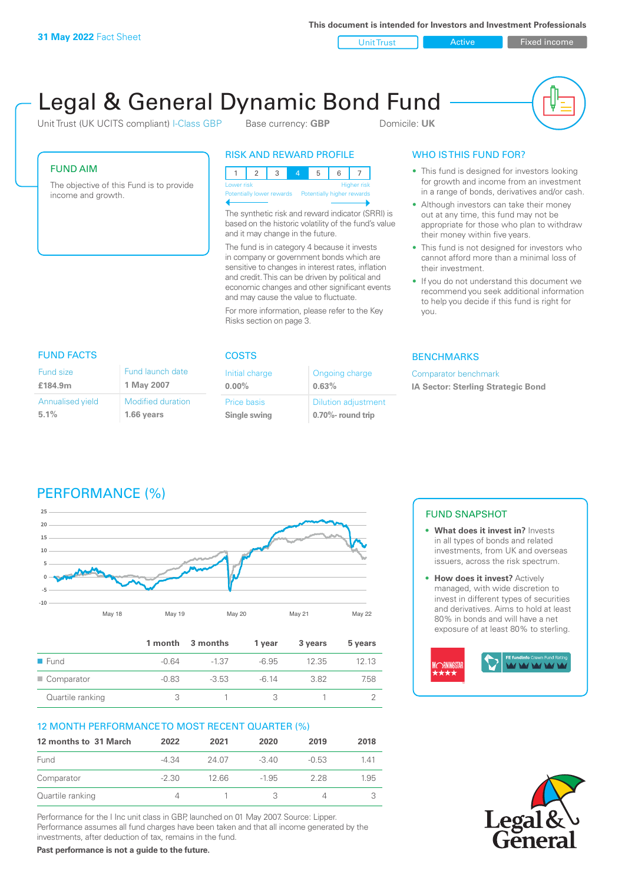**This document is intended for Investors and Investment Professionals**

Unit Trust **Active Active Relationship Contract** Fixed income

# Legal & General Dynamic Bond Fund

Unit Trust (UK UCITS compliant) I-Class GBP Base currency: **GBP** Domicile: UK



#### FUND AIM

The objective of this Fund is to provide income and growth.

## RISK AND REWARD PROFILE

123 4 5 6 7 Higher risk ntially lower rewards Potentially higher rewards

The synthetic risk and reward indicator (SRRI) is based on the historic volatility of the fund's value and it may change in the future.

The fund is in category 4 because it invests in company or government bonds which are sensitive to changes in interest rates, inflation and credit. This can be driven by political and economic changes and other significant events and may cause the value to fluctuate.

For more information, please refer to the Key Risks section on page 3.

### WHO IS THIS FUND FOR?

- This fund is designed for investors looking for growth and income from an investment in a range of bonds, derivatives and/or cash.
- Although investors can take their money out at any time, this fund may not be appropriate for those who plan to withdraw their money within five years.
- This fund is not designed for investors who cannot afford more than a minimal loss of their investment.
- If you do not understand this document we recommend you seek additional information to help you decide if this fund is right for you.

#### **BENCHMARKS**

Comparator benchmark **IA Sector: Sterling Strategic Bond**

#### FUND FACTS COSTS

| Fund size        | Fund launch date         |
|------------------|--------------------------|
| £184.9m          | 1 May 2007               |
| Annualised yield | <b>Modified duration</b> |
| 5.1%             | 1.66 years               |

| Initial charge<br>$0.00\%$  | Ongoing charge<br>0.63%                         |
|-----------------------------|-------------------------------------------------|
| Price basis<br>Single swing | <b>Dilution adjustment</b><br>0.70%- round trip |

# PERFORMANCE (%)



|                     |         | 1 month 3 months | 1 year  | 3 years | 5 years |
|---------------------|---------|------------------|---------|---------|---------|
| $\blacksquare$ Fund | $-0.64$ | $-1.37$          | $-6.95$ | 12.35   | 12 13   |
| Comparator          | $-0.83$ | $-3.53$          | $-6.14$ | 382     | 7.58    |
| Quartile ranking    |         |                  |         |         |         |

# 12 MONTH PERFORMANCE TO MOST RECENT QUARTER (%)

| 12 months to 31 March | 2022    | 2021  | 2020    | 2019    | 2018 |
|-----------------------|---------|-------|---------|---------|------|
| Fund                  | -4.34   | 24.07 | $-3.40$ | $-0.53$ | 141  |
| Comparator            | $-2.30$ | 12 66 | $-1.95$ | 228     | 1.95 |
| Quartile ranking      | 4       |       | 3       |         |      |

Performance for the I Inc unit class in GBP, launched on 01 May 2007. Source: Lipper. Performance assumes all fund charges have been taken and that all income generated by the investments, after deduction of tax, remains in the fund.

**Past performance is not a guide to the future.**

#### FUND SNAPSHOT

- **• What does it invest in?** Invests in all types of bonds and related investments, from UK and overseas issuers, across the risk spectrum.
- **• How does it invest?** Actively managed, with wide discretion to invest in different types of securities and derivatives. Aims to hold at least 80% in bonds and will have a net exposure of at least 80% to sterling.



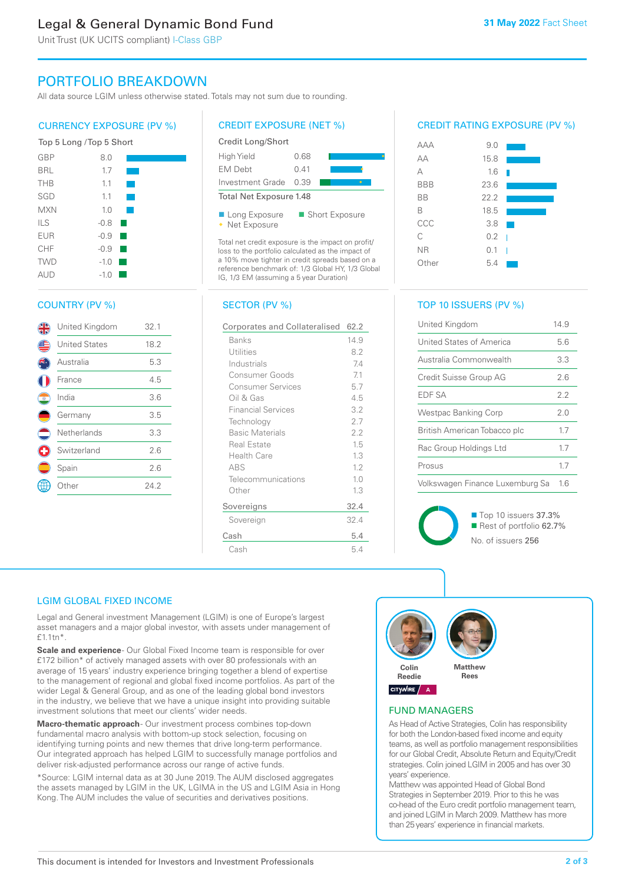# Legal & General Dynamic Bond Fund

Unit Trust (UK UCITS compliant) I-Class GBP

# PORTFOLIO BREAKDOWN

All data source LGIM unless otherwise stated. Totals may not sum due to rounding.

#### CURRENCY EXPOSURE (PV %)



#### COUNTRY (PV %)

|          | United Kingdom       | 32.1 |
|----------|----------------------|------|
|          | <b>United States</b> | 18.2 |
|          | Australia            | 5.3  |
|          | France               | 4.5  |
| O        | India                | 3.6  |
|          | Germany              | 3.5  |
| $\equiv$ | Netherlands          | 3.3  |
|          | Switzerland          | 2.6  |
|          | Spain                | 2.6  |
|          | Other                | 24.2 |
|          |                      |      |

#### CREDIT EXPOSURE (NET %)



Total net credit exposure is the impact on profit/ loss to the portfolio calculated as the impact of a 10% move tighter in credit spreads based on a reference benchmark of: 1/3 Global HY, 1/3 Global IG, 1/3 EM (assuming a 5 year Duration)

#### SECTOR (PV %)

| Corporates and Collateralised | 62.2 |
|-------------------------------|------|
| Banks                         | 14.9 |
| Utilities                     | 8.2  |
| Industrials                   | 7.4  |
| Consumer Goods                | 7.1  |
| Consumer Services             | 5.7  |
| Oil & Gas                     | 4.5  |
| <b>Financial Services</b>     | 3.2  |
| Technology                    | 2.7  |
| <b>Basic Materials</b>        | 2.2  |
| Real Estate                   | 1.5  |
| Health Care                   | 1.3  |
| <b>ABS</b>                    | 1.2  |
| Telecommunications            | 1.0  |
| Other                         | 1.3  |
| Sovereigns                    | 32.4 |
| Sovereign                     | 32.4 |
| Cash                          | 5.4  |
| Cash                          | 5.4  |

#### CREDIT RATING EXPOSURE (PV %)



#### TOP 10 ISSUERS (PV %)

| United Kingdom                  | 14.9 |
|---------------------------------|------|
| United States of America        | 5.6  |
| Australia Commonwealth          | 3.3  |
| Credit Suisse Group AG          | 26   |
| <b>FDF SA</b>                   | 22   |
| Westpac Banking Corp            | 20   |
| British American Tobacco plc    | 17   |
| Rac Group Holdings Ltd          | 17   |
| Prosus                          | 17   |
| Volkswagen Finance Luxemburg Sa | 16   |



■ Top 10 issuers 37.3% Rest of portfolio 62.7% No. of issuers 256

#### LGIM GLOBAL FIXED INCOME

Legal and General investment Management (LGIM) is one of Europe's largest asset managers and a major global investor, with assets under management of £1.1tn\*.

**Scale and experience** - Our Global Fixed Income team is responsible for over £172 billion\* of actively managed assets with over 80 professionals with an average of 15 years' industry experience bringing together a blend of expertise to the management of regional and global fixed income portfolios. As part of the wider Legal & General Group, and as one of the leading global bond investors in the industry, we believe that we have a unique insight into providing suitable investment solutions that meet our clients' wider needs.

Macro-thematic approach- Our investment process combines top-down fundamental macro analysis with bottom-up stock selection, focusing on identifying turning points and new themes that drive long-term performance. Our integrated approach has helped LGIM to successfully manage portfolios and deliver risk-adjusted performance across our range of active funds.

\*Source: LGIM internal data as at 30 June 2019. The AUM disclosed aggregates the assets managed by LGIM in the UK, LGIMA in the US and LGIM Asia in Hong Kong. The AUM includes the value of securities and derivatives positions.



#### FUND MANAGERS

As Head of Active Strategies, Colin has responsibility for both the London-based fixed income and equity teams, as well as portfolio management responsibilities for our Global Credit, Absolute Return and Equity/Credit strategies. Colin joined LGIM in 2005 and has over 30 years' experience.

Matthew was appointed Head of Global Bond Strategies in September 2019. Prior to this he was co-head of the Euro credit portfolio management team, and joined LGIM in March 2009. Matthew has more than 25 years' experience in financial markets.